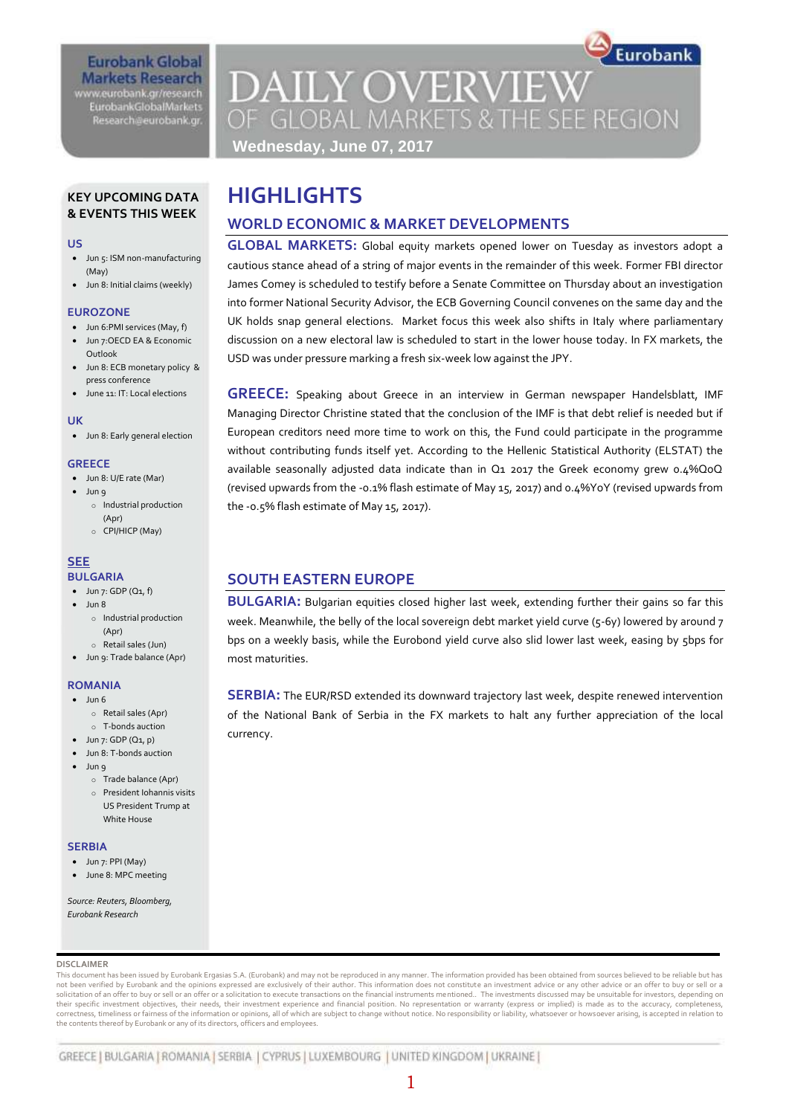## **Eurobank Global Markets Research**

www.eurobank.gr/research **EurobankGlobalMarkets** Research@eurobank.gr

# **DAILY OVERVIEW** OF GLOBAL MARKETS & THE SEE REGION **Wednesday, June 07, 2017**

Eurobank

## **KEY UPCOMING DATA & EVENTS THIS WEEK**

#### **US**

- Jun 5: ISM non-manufacturing (May)
- Jun 8: Initial claims (weekly)

### **EUROZONE**

- Jun 6:PMI services (May, f)
- Jun 7:OECD EA & Economic Outlook
- Jun 8: ECB monetary policy & press conference
- June 11: IT: Local elections

### **UK**

Jun 8: Early general election

### **GREECE**

- Jun 8: U/E rate (Mar)
	- Jun 9 o Industrial production (Apr)
		- o CPI/HICP (May)

#### **SEE BULGARIA**

- $-$  Jun 7: GDP (Q1, f)
- $\bullet$  Jun 8
	- o Industrial production (Apr)
- o Retail sales (Jun)
- Jun 9: Trade balance (Apr)

## **ROMANIA**

- $-$  Jun 6
	- o Retail sales (Apr)
- o T-bonds auction
- $\bullet$  Jun 7: GDP (Q1, p)
- Jun 8: T-bonds auction
- Jun 9
	- o Trade balance (Apr) o President Iohannis visits US President Trump at White House

### **SERBIA**

- Jun 7: PPI (May)
- June 8: MPC meeting

#### *Source: Reuters, Bloomberg, Eurobank Research*

### **DISCLAIMER**

This document has been issued by Eurobank Ergasias S.A. (Eurobank) and may not be reproduced in any manner. The information provided has been obtained from sources believed to be reliable but has not been verified by Eurobank and the opinions expressed are exclusively of their author. This information does not constitute an investment advice or any other advice or an offer to buy or sell or a solicitation of an offer to buy or sell or an offer or a solicitation to execute transactions on the financial instruments mentioned.. The investments discussed may be unsuitable for investors, depending on<br>their specific correctness, timeliness or fairness of the information or opinions, all of which are subject to change without notice. No responsibility or liability, whatsoever or howsoever arising, is accepted in relation to the contents thereof by Eurobank or any of its directors, officers and employees.

# **HIGHLIGHTS**

# **WORLD ECONOMIC & MARKET DEVELOPMENTS**

**GLOBAL MARKETS:** Global equity markets opened lower on Tuesday as investors adopt a cautious stance ahead of a string of major events in the remainder of this week. Former FBI director James Comey is scheduled to testify before a Senate Committee on Thursday about an investigation into former National Security Advisor, the ECB Governing Council convenes on the same day and the UK holds snap general elections. Market focus this week also shifts in Italy where parliamentary discussion on a new electoral law is scheduled to start in the lower house today. In FX markets, the USD was under pressure marking a fresh six-week low against the JPY.

**GREECE:** Speaking about Greece in an interview in German newspaper Handelsblatt, IMF Managing Director Christine stated that the conclusion of the IMF is that debt relief is needed but if European creditors need more time to work on this, the Fund could participate in the programme without contributing funds itself yet. According to the Hellenic Statistical Authority (ELSTAT) the available seasonally adjusted data indicate than in Q1 2017 the Greek economy grew 0.4%QoQ (revised upwards from the -0.1% flash estimate of May 15, 2017) and 0.4%YoY (revised upwards from the -0.5% flash estimate of May 15, 2017).

# **SOUTH EASTERN EUROPE**

**BULGARIA:** Bulgarian equities closed higher last week, extending further their gains so far this week. Meanwhile, the belly of the local sovereign debt market yield curve (5-6y) lowered by around 7 bps on a weekly basis, while the Eurobond yield curve also slid lower last week, easing by 5bps for most maturities.

**SERBIA:** The EUR/RSD extended its downward trajectory last week, despite renewed intervention of the National Bank of Serbia in the FX markets to halt any further appreciation of the local currency.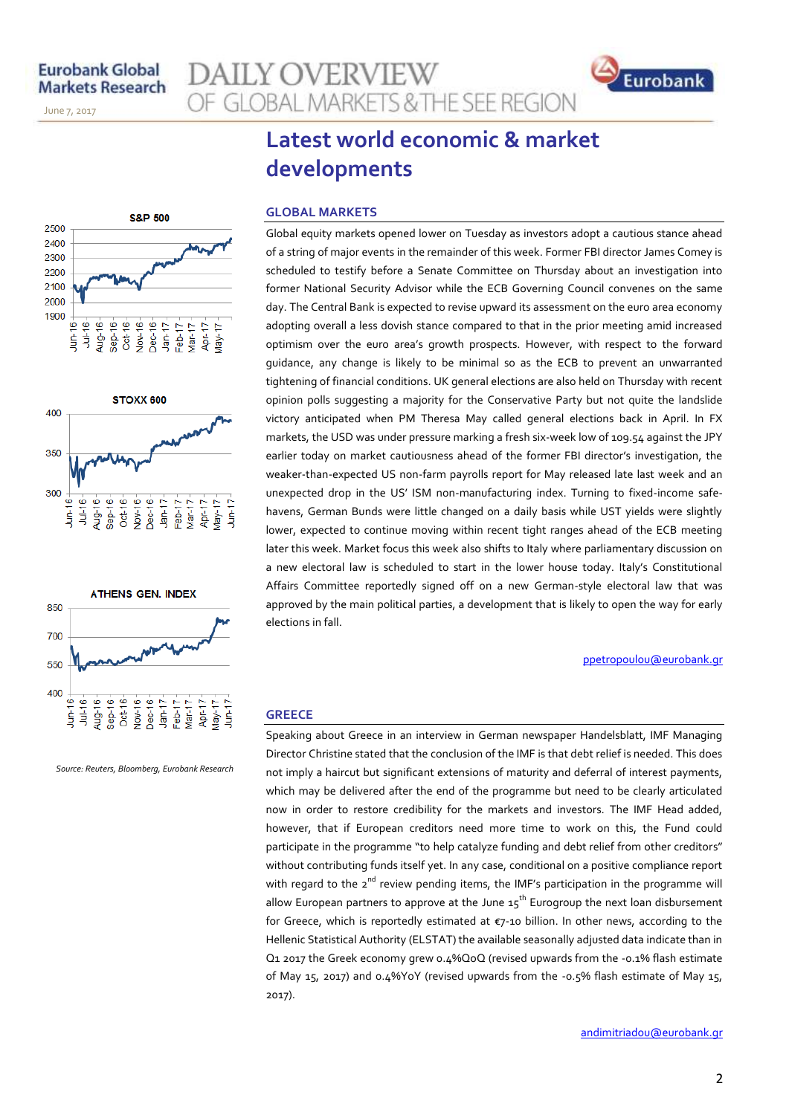November 14, 2013

June 7, 2017

# **AILY OVERVIEW** OF GLOBAL MARKETS & THE SEE REGION









*Source: Reuters, Bloomberg, Eurobank Research*

# **Latest world economic & market developments**

### **GLOBAL MARKETS**

Global equity markets opened lower on Tuesday as investors adopt a cautious stance ahead of a string of major events in the remainder of this week. Former FBI director James Comey is scheduled to testify before a Senate Committee on Thursday about an investigation into former National Security Advisor while the ECB Governing Council convenes on the same day. The Central Bank is expected to revise upward its assessment on the euro area economy adopting overall a less dovish stance compared to that in the prior meeting amid increased optimism over the euro area's growth prospects. However, with respect to the forward guidance, any change is likely to be minimal so as the ECB to prevent an unwarranted tightening of financial conditions. UK general elections are also held on Thursday with recent opinion polls suggesting a majority for the Conservative Party but not quite the landslide victory anticipated when PM Theresa May called general elections back in April. In FX markets, the USD was under pressure marking a fresh six-week low of 109.54 against the JPY earlier today on market cautiousness ahead of the former FBI director's investigation, the weaker-than-expected US non-farm payrolls report for May released late last week and an unexpected drop in the US' ISM non-manufacturing index. Turning to fixed-income safehavens, German Bunds were little changed on a daily basis while UST yields were slightly lower, expected to continue moving within recent tight ranges ahead of the ECB meeting later this week. Market focus this week also shifts to Italy where parliamentary discussion on a new electoral law is scheduled to start in the lower house today. Italy's Constitutional Affairs Committee reportedly signed off on a new German-style electoral law that was approved by the main political parties, a development that is likely to open the way for early elections in fall.

[ppetropoulou@eurobank.gr](mailto:ppetropoulou@eurobank.gr)

## **GREECE**

Speaking about Greece in an interview in German newspaper Handelsblatt, IMF Managing Director Christine stated that the conclusion of the IMF is that debt relief is needed. This does not imply a haircut but significant extensions of maturity and deferral of interest payments, which may be delivered after the end of the programme but need to be clearly articulated now in order to restore credibility for the markets and investors. The IMF Head added, however, that if European creditors need more time to work on this, the Fund could participate in the programme "to help catalyze funding and debt relief from other creditors" without contributing funds itself yet. In any case, conditional on a positive compliance report with regard to the  $2^{nd}$  review pending items, the IMF's participation in the programme will allow European partners to approve at the June  $15^{th}$  Eurogroup the next loan disbursement for Greece, which is reportedly estimated at €7-10 billion. In other news, according to the Hellenic Statistical Authority (ELSTAT) the available seasonally adjusted data indicate than in Q1 2017 the Greek economy grew 0.4%QoQ (revised upwards from the -0.1% flash estimate of May 15, 2017) and 0.4%YoY (revised upwards from the -0.5% flash estimate of May 15, 2017).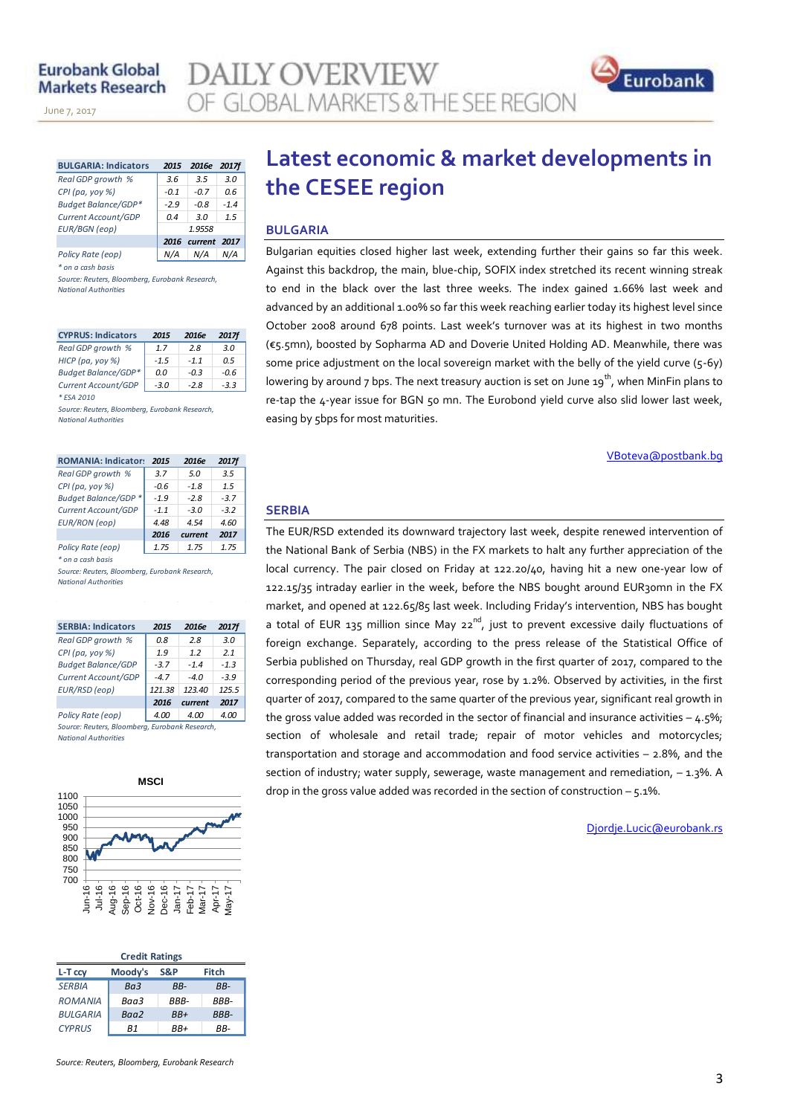November 14, 2013

June 7, 2017

| <b>BULGARIA: Indicators</b> | 2015   | 2016e        | <b>2017f</b> |  |  |
|-----------------------------|--------|--------------|--------------|--|--|
| Real GDP growth %           | 3.6    | 3.5          | 3.0          |  |  |
| CPI (pa, yoy %)             | $-0.1$ | $-0.7$       | 0.6          |  |  |
| <b>Budget Balance/GDP*</b>  | $-2.9$ | -0.8         | $-1.4$       |  |  |
| Current Account/GDP         | 0.4    | 3.0          | 1.5          |  |  |
| <b>EUR/BGN</b> (eop)        | 1.9558 |              |              |  |  |
|                             | 2016   | current 2017 |              |  |  |
| Policy Rate (eop)           | N/A    | N/A          |              |  |  |

*\* on a cash basis*

*Source: Reuters, Bloomberg, Eurobank Research, National Authorities*

| <b>CYPRUS: Indicators</b>  | 2015   | 2016e  | <b>2017f</b> |
|----------------------------|--------|--------|--------------|
| Real GDP growth %          | 17     | 28     | 3 N          |
| HICP (pa, yoy %)           | $-1.5$ | $-11$  | በ 5          |
| <b>Budget Balance/GDP*</b> | 0.0    | $-0.3$ | $-0.6$       |
| Current Account/GDP        | $-3.0$ | $-2.8$ | $-3.3$       |
| * FSA 2010                 |        |        |              |

*Source: Reuters, Bloomberg, Eurobank Research, National Authorities*

| <b>ROMANIA: Indicators</b> | 2015   | 2016e   | <b>2017f</b> |
|----------------------------|--------|---------|--------------|
| Real GDP growth %          | 3.7    | 5.0     | 3.5          |
| $CPI$ (pa, yoy %)          | $-0.6$ | -18     | 15           |
| Budget Balance/GDP *       | $-19$  | $-28$   | $-37$        |
| Current Account/GDP        | $-11$  | $-3.0$  | $-3.2$       |
| <b>EUR/RON</b> (eop)       | 4 48   | 454     | 4.60         |
|                            | 2016   | current | 2017         |
| Policy Rate (eop)          | 1.75   | 1 75    | 1.75         |
| * on a cash basis          |        |         |              |

*Source: Reuters, Bloomberg, Eurobank Research, National Authorities*

| <b>SERBIA: Indicators</b>                    | 2015   | 2016e   | 2017f  |  |  |  |  |  |  |
|----------------------------------------------|--------|---------|--------|--|--|--|--|--|--|
| Real GDP growth %                            | 0.8    | 2.8     | 3.0    |  |  |  |  |  |  |
| CPI (pa, yoy %)                              | 1.9    | 1.2     | 2.1    |  |  |  |  |  |  |
| <b>Budget Balance/GDP</b>                    | $-3.7$ | $-1.4$  | $-1.3$ |  |  |  |  |  |  |
| Current Account/GDP                          | $-4.7$ | $-4.0$  | $-3.9$ |  |  |  |  |  |  |
| EUR/RSD (eop)                                | 121.38 | 123.40  | 125.5  |  |  |  |  |  |  |
|                                              | 2016   | current | 2017   |  |  |  |  |  |  |
| Policy Rate (eop)                            | 4.00   | 4.00    | 4.00   |  |  |  |  |  |  |
| Course Boutors, Bloomborn, Furchank Bosonich |        |         |        |  |  |  |  |  |  |

*Source: Reuters, Bloomberg, Eurobank Research, National Authorities*



| <b>Credit Ratings</b> |         |       |             |  |  |  |  |
|-----------------------|---------|-------|-------------|--|--|--|--|
| L-T ccv               | Moody's | S&P   | Fitch       |  |  |  |  |
| <b>SERBIA</b>         | Ra3     | RR-   | RR-         |  |  |  |  |
| <b>ROMANIA</b>        | Baa3    | RRR-  | RRR-        |  |  |  |  |
| <b>BULGARIA</b>       | Baa2    | $BB+$ | <b>BBB-</b> |  |  |  |  |
| <b>CYPRUS</b>         | R1      | RR+   | RR-         |  |  |  |  |

# **Latest economic & market developments in the CESEE region**

### **BULGARIA**

**MLY OVERVIEW** 

**GLOBAL MARKETS & THE SEE REGION** 

Bulgarian equities closed higher last week, extending further their gains so far this week. Against this backdrop, the main, blue-chip, SOFIX index stretched its recent winning streak to end in the black over the last three weeks. The index gained 1.66% last week and advanced by an additional 1.00% so far this week reaching earlier today its highest level since October 2008 around 678 points. Last week's turnover was at its highest in two months (€5.5mn), boosted by Sopharma AD and Doverie United Holding AD. Meanwhile, there was some price adjustment on the local sovereign market with the belly of the yield curve (5-6y) lowering by around 7 bps. The next treasury auction is set on June  $19^{th}$ , when MinFin plans to re-tap the 4-year issue for BGN 50 mn. The Eurobond yield curve also slid lower last week, easing by 5bps for most maturities.

VBoteva@postbank.bg

### **SERBIA**

The EUR/RSD extended its downward trajectory last week, despite renewed intervention of the National Bank of Serbia (NBS) in the FX markets to halt any further appreciation of the local currency. The pair closed on Friday at 122.20/40, having hit a new one-year low of 122.15/35 intraday earlier in the week, before the NBS bought around EUR30mn in the FX market, and opened at 122.65/85 last week. Including Friday's intervention, NBS has bought a total of EUR 135 million since May 22 $n^d$ , just to prevent excessive daily fluctuations of foreign exchange. Separately, according to the press release of the Statistical Office of Serbia published on Thursday, real GDP growth in the first quarter of 2017, compared to the corresponding period of the previous year, rose by 1.2%. Observed by activities, in the first quarter of 2017, compared to the same quarter of the previous year, significant real growth in the gross value added was recorded in the sector of financial and insurance activities  $-$  4.5%; section of wholesale and retail trade; repair of motor vehicles and motorcycles; transportation and storage and accommodation and food service activities – 2.8%, and the section of industry; water supply, sewerage, waste management and remediation,  $-1.3\%$ . A drop in the gross value added was recorded in the section of construction  $-$  5.1%.

Djordje.Lucic@eurobank.rs

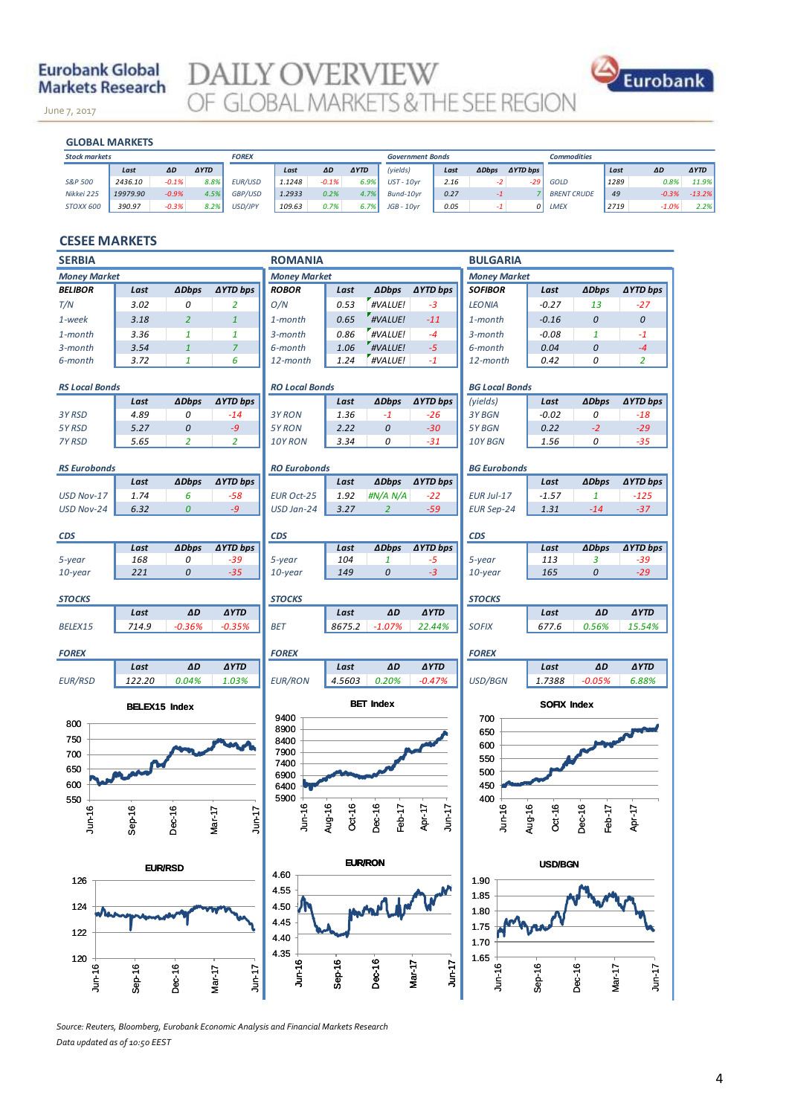## **Eurobank Global Markets Research**

June 7, 2017

DAILY OVERVIEW OF GLOBAL MARKETS & THE SEE REGION



November 14, 2013 **GLOBAL MARKETS**

| ΔD      | <b>AYTD</b> |
|---------|-------------|
| 0.8%    | 11.9%       |
| $-0.3%$ | $-13.2%$    |
| $-1.0%$ | 2.2%        |
|         |             |

## **CESEE MARKETS**

| <b>SERBIA</b>                    |                      |                  |                     | <b>ROMANIA</b>        |                  |                  |                     | <b>BULGARIA</b>       |                  |                  |                 |
|----------------------------------|----------------------|------------------|---------------------|-----------------------|------------------|------------------|---------------------|-----------------------|------------------|------------------|-----------------|
| <b>Money Market</b>              |                      |                  |                     | <b>Money Market</b>   |                  |                  | <b>Money Market</b> |                       |                  |                  |                 |
| <b>BELIBOR</b>                   | Last                 | <b>ADbps</b>     | <b>∆YTD bps</b>     | <b>ROBOR</b>          | Last             | <b>ADbps</b>     | <b>AYTD bps</b>     | <b>SOFIBOR</b>        | Last             | <b>ADbps</b>     | ∆YTD bps        |
| T/N                              | 3.02                 | 0                | $\overline{2}$      | O/N                   | 0.53             | #VALUE!          | $-3$                | <b>LEONIA</b>         | $-0.27$          | 13               | $-27$           |
| 1-week                           | 3.18                 | $\overline{2}$   | $\mathbf{1}$        | 1-month               | 0.65             | #VALUE!          | $-11$               | 1-month               | $-0.16$          | 0                | $\mathcal{O}$   |
| 1-month                          | 3.36                 | $\mathbf{1}$     | $\mathbf{1}$        | $3$ -month            | 0.86             | #VALUE!          | $-4$                | 3-month               | $-0.08$          | $\mathbf{1}$     | $-1$            |
| 3-month                          | 3.54                 | $\mathbf{1}$     | $\overline{7}$      | 6-month               | 1.06             | #VALUE!          | $-5$                | 6-month               | 0.04             | 0                | $-4$            |
| 6-month                          | 3.72                 | $\mathbf{1}$     | 6                   | 12-month              | 1.24             | #VALUE!          | $-1$                | 12-month              | 0.42             | 0                | $\overline{2}$  |
| <b>RS Local Bonds</b>            |                      |                  |                     | <b>RO Local Bonds</b> |                  |                  |                     | <b>BG Local Bonds</b> |                  |                  |                 |
|                                  | Last                 | <b>ADbps</b>     | <b>AYTD bps</b>     |                       | Last             | <b>ADbps</b>     | <b>AYTD bps</b>     | (yields)              | Last             | <b>ADbps</b>     | ∆YTD bps        |
| 3Y RSD                           | 4.89                 | 0                | $-14$               | 3Y RON                | 1.36             | $-1$             | $-26$               | 3Y BGN                | $-0.02$          | 0                | $-18$           |
| 5Y RSD                           | 5.27                 | 0                | $-9$                | 5Y RON                | 2.22             | 0                | $-30$               | 5Y BGN                | 0.22             | $-2$             | $-29$           |
| 7Y RSD                           | 5.65                 | $\overline{2}$   | $\overline{2}$      | 10Y RON               | 3.34             | 0                | $-31$               | 10Y BGN               | 1.56             | 0                | $-35$           |
| <b>RS Eurobonds</b>              |                      |                  |                     | <b>RO Eurobonds</b>   |                  |                  |                     | <b>BG Eurobonds</b>   |                  |                  |                 |
|                                  | Last                 | <b>ADbps</b>     | <b>∆YTD bps</b>     |                       | Last             | <b>ADbps</b>     | ∆YTD bps            |                       | Last             | <b>ADbps</b>     | ∆YTD bps        |
| USD Nov-17                       | 1.74                 | 6                | $-58$               | <b>EUR Oct-25</b>     | 1.92             | #N/A N/A         | $-22$               | EUR Jul-17            | $-1.57$          | $\mathbf{1}$     | $-125$          |
| <b>USD Nov-24</b>                | 6.32                 | $\boldsymbol{0}$ | $-9$                | USD Jan-24            | 3.27             | $\overline{2}$   | $-59$               | <b>EUR Sep-24</b>     | 1.31             | $-14$            | $-37$           |
| <b>CDS</b>                       |                      |                  |                     | <b>CDS</b>            |                  |                  |                     | <b>CDS</b>            |                  |                  |                 |
|                                  | Last                 | <b>ADbps</b>     | ∆YTD bps            |                       | Last             | <b>ADbps</b>     | <b>AYTD bps</b>     |                       | Last             | <b>ADbps</b>     | <b>AYTD bps</b> |
| 5-year                           | 168                  | 0                | $-39$               | 5-year                | 104              | $\mathbf{1}$     | $-5$                | 5-year                | 113              | 3                | $-39$           |
| 10-year                          | 221                  | 0                | $-35$               | 10-year               | 149              | $\it{O}$         | $-3$                | $10$ -year            | 165              | 0                | $-29$           |
| <b>STOCKS</b>                    |                      |                  |                     | <b>STOCKS</b>         |                  |                  |                     | <b>STOCKS</b>         |                  |                  |                 |
|                                  | Last                 | $\Delta D$       | <b>AYTD</b>         |                       | Last             | ΔD               | <b>AYTD</b>         |                       | Last             | $\Delta D$       | <b>AYTD</b>     |
| BELEX15                          | 714.9                | $-0.36%$         | $-0.35%$            | <b>BET</b>            | 8675.2           | $-1.07%$         | 22.44%              | <b>SOFIX</b>          | 677.6            | 0.56%            | 15.54%          |
| <b>FOREX</b>                     |                      |                  |                     | <b>FOREX</b>          |                  |                  |                     | <b>FOREX</b>          |                  |                  |                 |
|                                  | Last                 | AD               | <b>AYTD</b>         |                       | Last             | ΔD               | <b>AYTD</b>         |                       | Last             | ΔD               | <b>AYTD</b>     |
| <b>EUR/RSD</b>                   | 122.20               | 0.04%            | 1.03%               | <b>EUR/RON</b>        | 4.5603           | 0.20%            | $-0.47%$            | USD/BGN               | 1.7388           | $-0.05%$         | 6.88%           |
|                                  | <b>BELEX15 Index</b> |                  |                     |                       |                  | <b>BET Index</b> |                     | <b>SOFIX Index</b>    |                  |                  |                 |
| 800                              |                      |                  |                     | 9400                  |                  |                  |                     | 700                   |                  |                  |                 |
| 750                              |                      |                  |                     | 8900<br>8400          |                  |                  |                     | 650                   |                  |                  |                 |
| 700                              |                      |                  |                     | 7900                  |                  |                  |                     | 600                   |                  |                  |                 |
| 650                              |                      |                  |                     | 7400                  |                  |                  |                     | 550                   |                  |                  |                 |
| 600                              |                      |                  |                     | 6900                  |                  |                  |                     | 500                   |                  |                  |                 |
|                                  |                      |                  |                     | 6400<br>5900          |                  |                  |                     | 450<br>400            |                  |                  |                 |
| 550                              |                      |                  |                     |                       |                  |                  |                     |                       |                  |                  |                 |
| Jun-16                           | $Step-16$            | Dec-16           | Mar-17<br>$J$ un-17 | Jun-16                | Aug-16<br>Oct-16 | Dec-16<br>Feb-17 | Apr-17<br>$J$ un-17 | Jun-16                | Aug-16<br>Oct-16 | Dec-16<br>Feb-17 | Apr-17          |
|                                  |                      |                  |                     |                       |                  |                  |                     |                       |                  |                  |                 |
| <b>EUR/RON</b><br><b>EUR/RSD</b> |                      |                  |                     |                       | <b>USD/BGN</b>   |                  |                     |                       |                  |                  |                 |
| 126                              |                      |                  | 4.60                |                       |                  |                  | 1.90                |                       |                  |                  |                 |
|                                  |                      |                  | 4.55                |                       |                  |                  | 1.85                |                       |                  |                  |                 |
| 124                              |                      |                  |                     | 4.50                  |                  |                  |                     | 1.80                  |                  |                  |                 |
| 122                              |                      |                  |                     | 4.45                  |                  |                  |                     | 1.75                  |                  |                  |                 |
|                                  |                      |                  |                     | 4.40<br>4.35          |                  |                  |                     | 1.70                  |                  |                  |                 |
| 120                              |                      |                  |                     | $J$ un-16             | $Sep-16$         | Dec-16           | $Jun-17$            | 1.65                  |                  |                  |                 |
| Jun-16                           | $Step-16$            | Dec-16           | $J$ un-17<br>Mar-17 |                       |                  |                  | Mar-17              | $J$ un-16             | $Sep-16$         | Dec-16<br>Mar-17 | $J$ un-17       |

*Source: Reuters, Bloomberg, Eurobank Economic Analysis and Financial Markets Research Data updated as of 10:50 EEST*